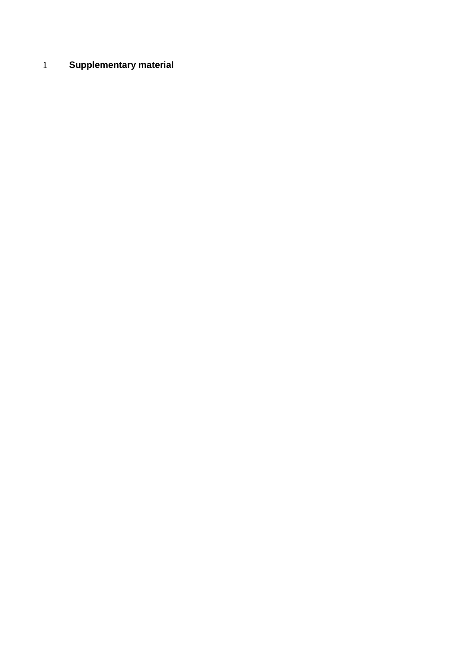## **Supplementary material**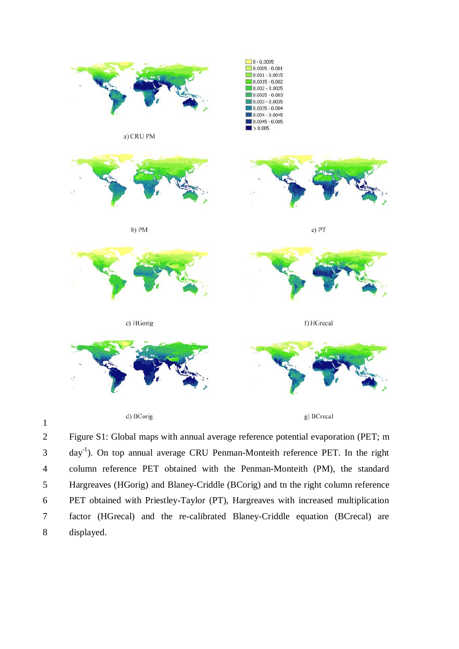

1

2 Figure S1: Global maps with annual average reference potential evaporation (PET; m day-1 3 ). On top annual average CRU Penman-Monteith reference PET. In the right 4 column reference PET obtained with the Penman-Monteith (PM), the standard 5 Hargreaves (HGorig) and Blaney-Criddle (BCorig) and tn the right column reference 6 PET obtained with Priestley-Taylor (PT), Hargreaves with increased multiplication 7 factor (HGrecal) and the re-calibrated Blaney-Criddle equation (BCrecal) are 8 displayed.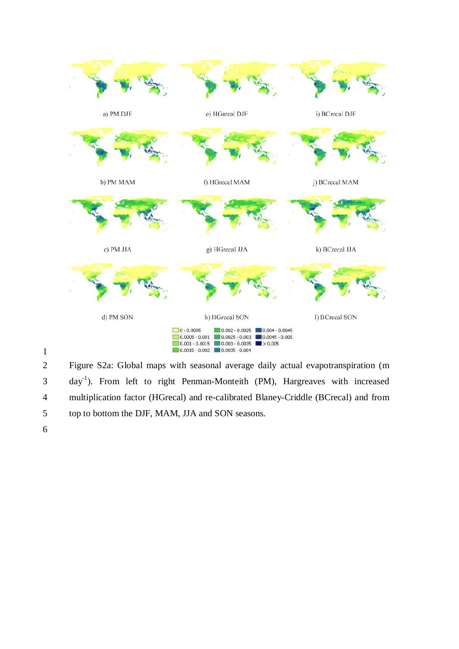

1

2 Figure S2a: Global maps with seasonal average daily actual evapotranspiration (m 3 day<sup>-1</sup>). From left to right Penman-Monteith (PM), Hargreaves with increased 4 multiplication factor (HGrecal) and re-calibrated Blaney-Criddle (BCrecal) and from 5 top to bottom the DJF, MAM, JJA and SON seasons.

6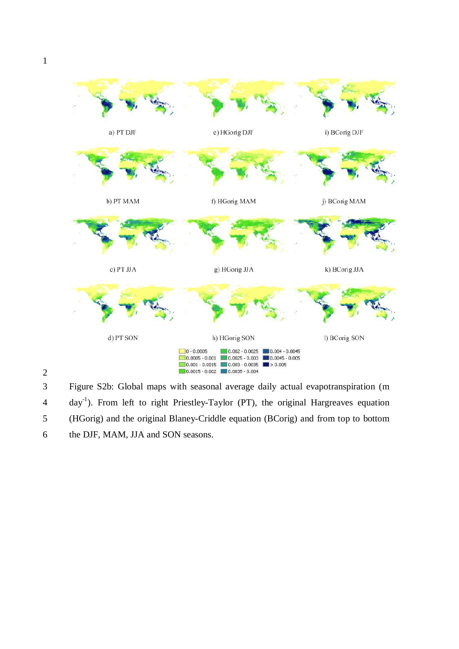2



3 Figure S2b: Global maps with seasonal average daily actual evapotranspiration (m day-1 4 ). From left to right Priestley-Taylor (PT), the original Hargreaves equation 5 (HGorig) and the original Blaney-Criddle equation (BCorig) and from top to bottom 6 the DJF, MAM, JJA and SON seasons.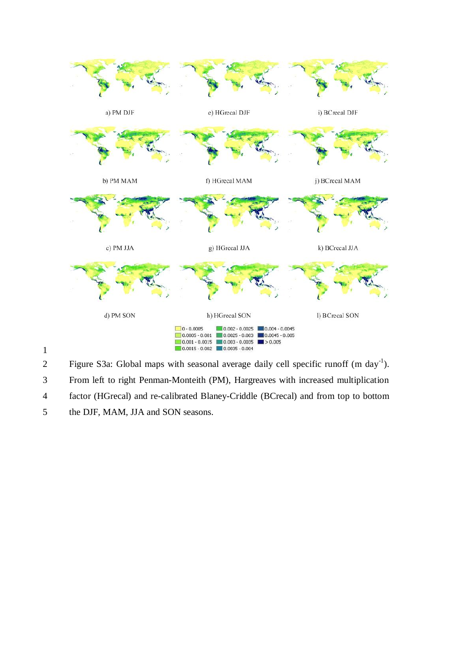

1

Figure S3a: Global maps with seasonal average daily cell specific runoff  $(m \, day^{-1})$ .

3 From left to right Penman-Monteith (PM), Hargreaves with increased multiplication

4 factor (HGrecal) and re-calibrated Blaney-Criddle (BCrecal) and from top to bottom

5 the DJF, MAM, JJA and SON seasons.